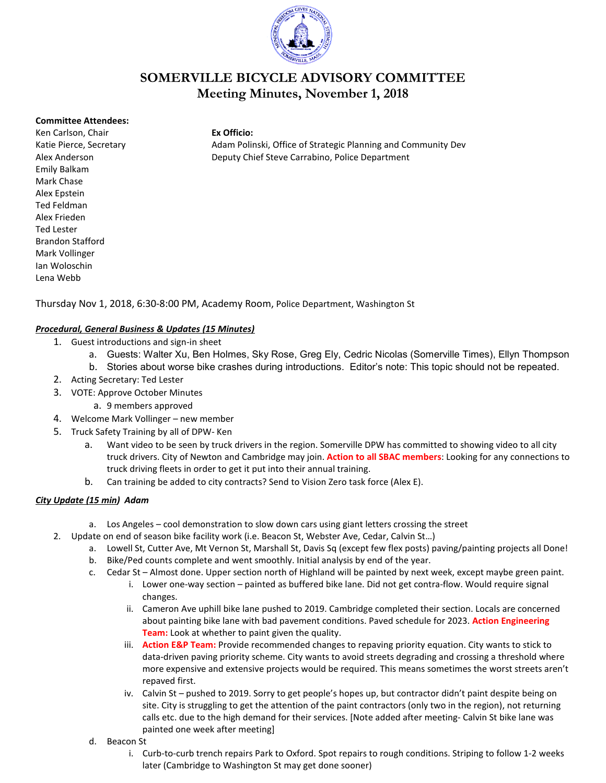

# **SOMERVILLE BICYCLE ADVISORY COMMITTEE Meeting Minutes, November 1, 2018**

#### **Committee Attendees:**

Ken Carlson, Chair **Ex Officio:** Emily Balkam Mark Chase Alex Epstein Ted Feldman Alex Frieden Ted Lester Brandon Stafford Mark Vollinger Ian Woloschin Lena Webb

Katie Pierce, Secretary **Adam Polinski, Office of Strategic Planning and Community Dev** Alex Anderson Deputy Chief Steve Carrabino, Police Department

Thursday Nov 1, 2018, 6:30-8:00 PM, Academy Room, Police Department, Washington St

### *Procedural, General Business & Updates (15 Minutes)*

- 1. Guest introductions and sign-in sheet
	- a. Guests: Walter Xu, Ben Holmes, Sky Rose, Greg Ely, Cedric Nicolas (Somerville Times), Ellyn Thompson
	- b. Stories about worse bike crashes during introductions. Editor's note: This topic should not be repeated.
- 2. Acting Secretary: Ted Lester
- 3. VOTE: Approve October Minutes
	- a. 9 members approved
- 4. Welcome Mark Vollinger new member
- 5. Truck Safety Training by all of DPW- Ken
	- a. Want video to be seen by truck drivers in the region. Somerville DPW has committed to showing video to all city truck drivers. City of Newton and Cambridge may join. **Action to all SBAC members**: Looking for any connections to truck driving fleets in order to get it put into their annual training.
	- b. Can training be added to city contracts? Send to Vision Zero task force (Alex E).

#### *City Update (15 min) Adam*

- a. Los Angeles cool demonstration to slow down cars using giant letters crossing the street
- 2. Update on end of season bike facility work (i.e. Beacon St, Webster Ave, Cedar, Calvin St…)
	- a. Lowell St, Cutter Ave, Mt Vernon St, Marshall St, Davis Sq (except few flex posts) paving/painting projects all Done!
	- b. Bike/Ped counts complete and went smoothly. Initial analysis by end of the year.
	- c. Cedar St Almost done. Upper section north of Highland will be painted by next week, except maybe green paint.
		- i. Lower one-way section painted as buffered bike lane. Did not get contra-flow. Would require signal changes.
		- ii. Cameron Ave uphill bike lane pushed to 2019. Cambridge completed their section. Locals are concerned about painting bike lane with bad pavement conditions. Paved schedule for 2023. **Action Engineering Team:** Look at whether to paint given the quality.
		- iii. **Action E&P Team:** Provide recommended changes to repaving priority equation. City wants to stick to data-driven paving priority scheme. City wants to avoid streets degrading and crossing a threshold where more expensive and extensive projects would be required. This means sometimes the worst streets aren't repaved first.
		- iv. Calvin St pushed to 2019. Sorry to get people's hopes up, but contractor didn't paint despite being on site. City is struggling to get the attention of the paint contractors (only two in the region), not returning calls etc. due to the high demand for their services. [Note added after meeting- Calvin St bike lane was painted one week after meeting]
	- d. Beacon St
		- i. Curb-to-curb trench repairs Park to Oxford. Spot repairs to rough conditions. Striping to follow 1-2 weeks later (Cambridge to Washington St may get done sooner)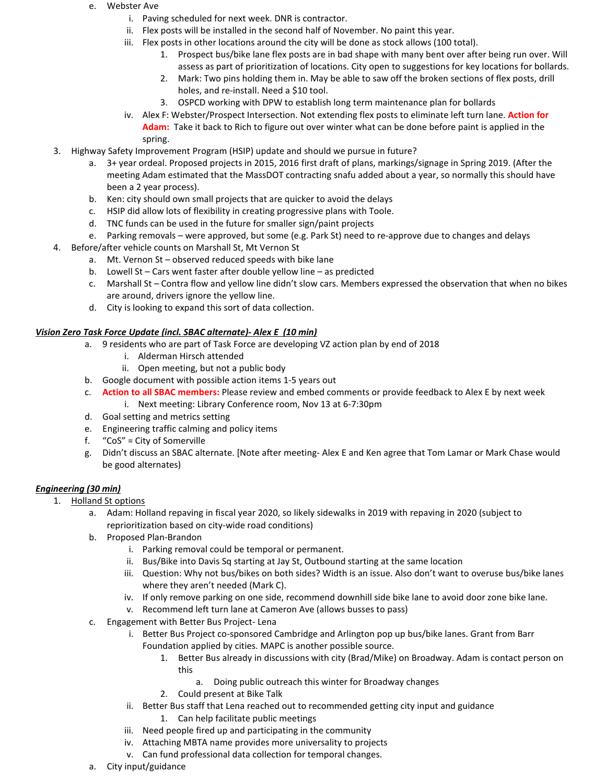#### e. Webster Ave

- i. Paving scheduled for next week. DNR is contractor.
- ii. Flex posts will be installed in the second half of November. No paint this year.
- iii. Flex posts in other locations around the city will be done as stock allows (100 total).
	- 1. Prospect bus/bike lane flex posts are in bad shape with many bent over after being run over. Will assess as part of prioritization of locations. City open to suggestions for key locations for bollards.
	- 2. Mark: Two pins holding them in. May be able to saw off the broken sections of flex posts, drill holes, and re-install. Need a \$10 tool.
	- 3. OSPCD working with DPW to establish long term maintenance plan for bollards
- iv. Alex F: Webster/Prospect Intersection. Not extending flex posts to eliminate left turn lane. **Action for Adam:** Take it back to Rich to figure out over winter what can be done before paint is applied in the spring.
- 3. Highway Safety Improvement Program (HSIP) update and should we pursue in future?
	- a. 3+ year ordeal. Proposed projects in 2015, 2016 first draft of plans, markings/signage in Spring 2019. (After the meeting Adam estimated that the MassDOT contracting snafu added about a year, so normally this should have been a 2 year process).
	- b. Ken: city should own small projects that are quicker to avoid the delays
	- c. HSIP did allow lots of flexibility in creating progressive plans with Toole.
	- d. TNC funds can be used in the future for smaller sign/paint projects
	- e. Parking removals were approved, but some (e.g. Park St) need to re-approve due to changes and delays
- 4. Before/after vehicle counts on Marshall St, Mt Vernon St
	- a. Mt. Vernon St observed reduced speeds with bike lane
	- b. Lowell St Cars went faster after double yellow line as predicted
	- c. Marshall St Contra flow and yellow line didn't slow cars. Members expressed the observation that when no bikes are around, drivers ignore the yellow line.
	- d. City is looking to expand this sort of data collection.

#### *Vision Zero Task Force Update (incl. SBAC alternate)- Alex E (10 min)*

- a. 9 residents who are part of Task Force are developing VZ action plan by end of 2018
	- i. Alderman Hirsch attended
	- ii. Open meeting, but not a public body
- b. Google document with possible action items 1-5 years out
- c. **Action to all SBAC members:** Please review and embed comments or provide feedback to Alex E by next week i. Next meeting: Library Conference room, Nov 13 at 6-7:30pm
- d. Goal setting and metrics setting
- e. Engineering traffic calming and policy items
- f. "CoS" = City of Somerville
- g. Didn't discuss an SBAC alternate. [Note after meeting- Alex E and Ken agree that Tom Lamar or Mark Chase would be good alternates)

#### *Engineering (30 min)*

- 1. Holland St options
	- a. Adam: Holland repaving in fiscal year 2020, so likely sidewalks in 2019 with repaving in 2020 (subject to reprioritization based on city-wide road conditions)
	- b. Proposed Plan-Brandon
		- i. Parking removal could be temporal or permanent.
		- ii. Bus/Bike into Davis Sq starting at Jay St, Outbound starting at the same location
		- iii. Question: Why not bus/bikes on both sides? Width is an issue. Also don't want to overuse bus/bike lanes where they aren't needed (Mark C).
		- iv. If only remove parking on one side, recommend downhill side bike lane to avoid door zone bike lane.
		- v. Recommend left turn lane at Cameron Ave (allows busses to pass)
	- c. Engagement with Better Bus Project- Lena
		- i. Better Bus Project co-sponsored Cambridge and Arlington pop up bus/bike lanes. Grant from Barr Foundation applied by cities. MAPC is another possible source.
			- 1. Better Bus already in discussions with city (Brad/Mike) on Broadway. Adam is contact person on this
				- a. Doing public outreach this winter for Broadway changes
			- 2. Could present at Bike Talk
		- ii. Better Bus staff that Lena reached out to recommended getting city input and guidance 1. Can help facilitate public meetings
		- iii. Need people fired up and participating in the community
		- iv. Attaching MBTA name provides more universality to projects
		- v. Can fund professional data collection for temporal changes.
	- a. City input/guidance